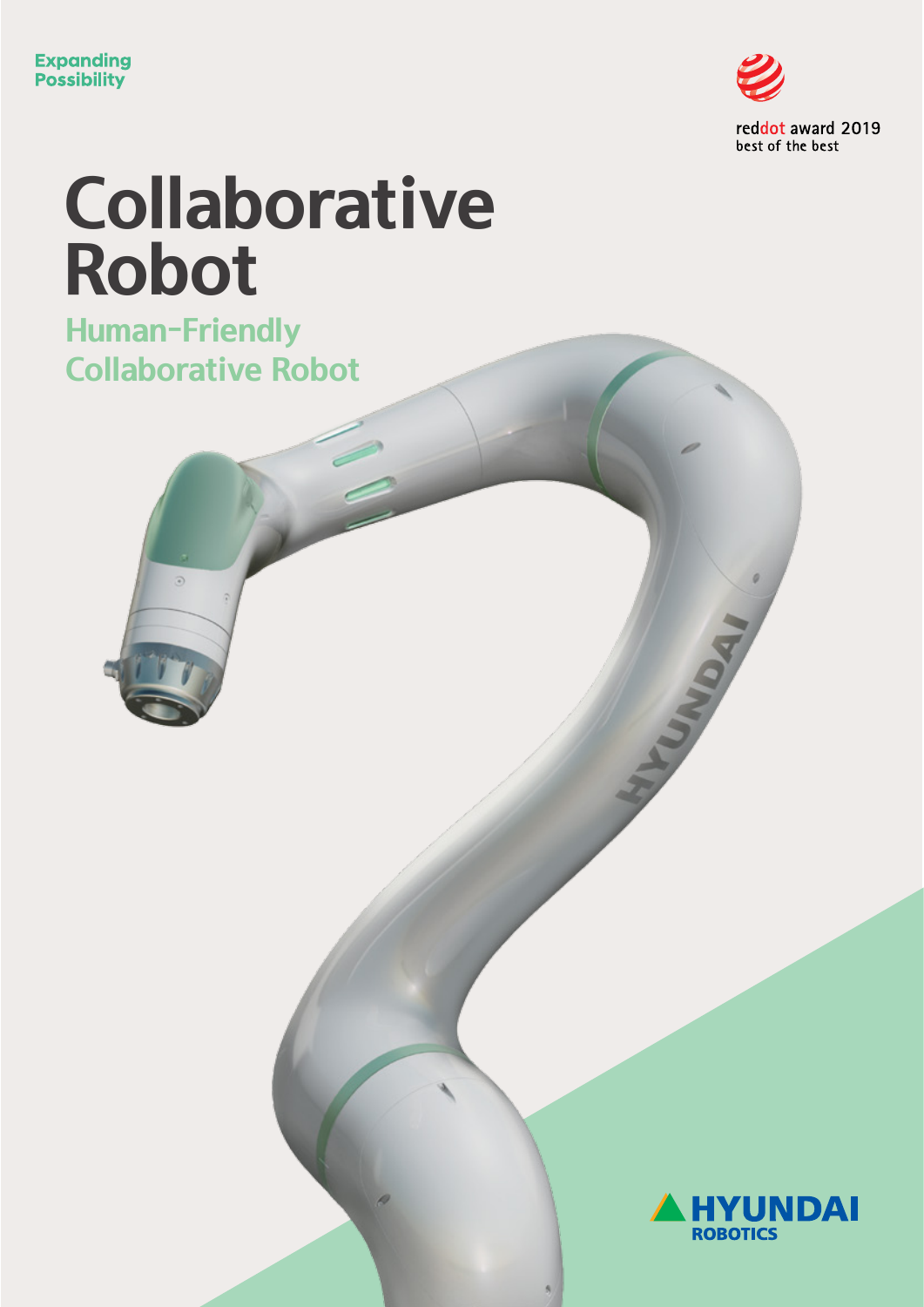

# **Collaborative Robot**

**Human-Friendly Collaborative Robot**

ä



UNDAI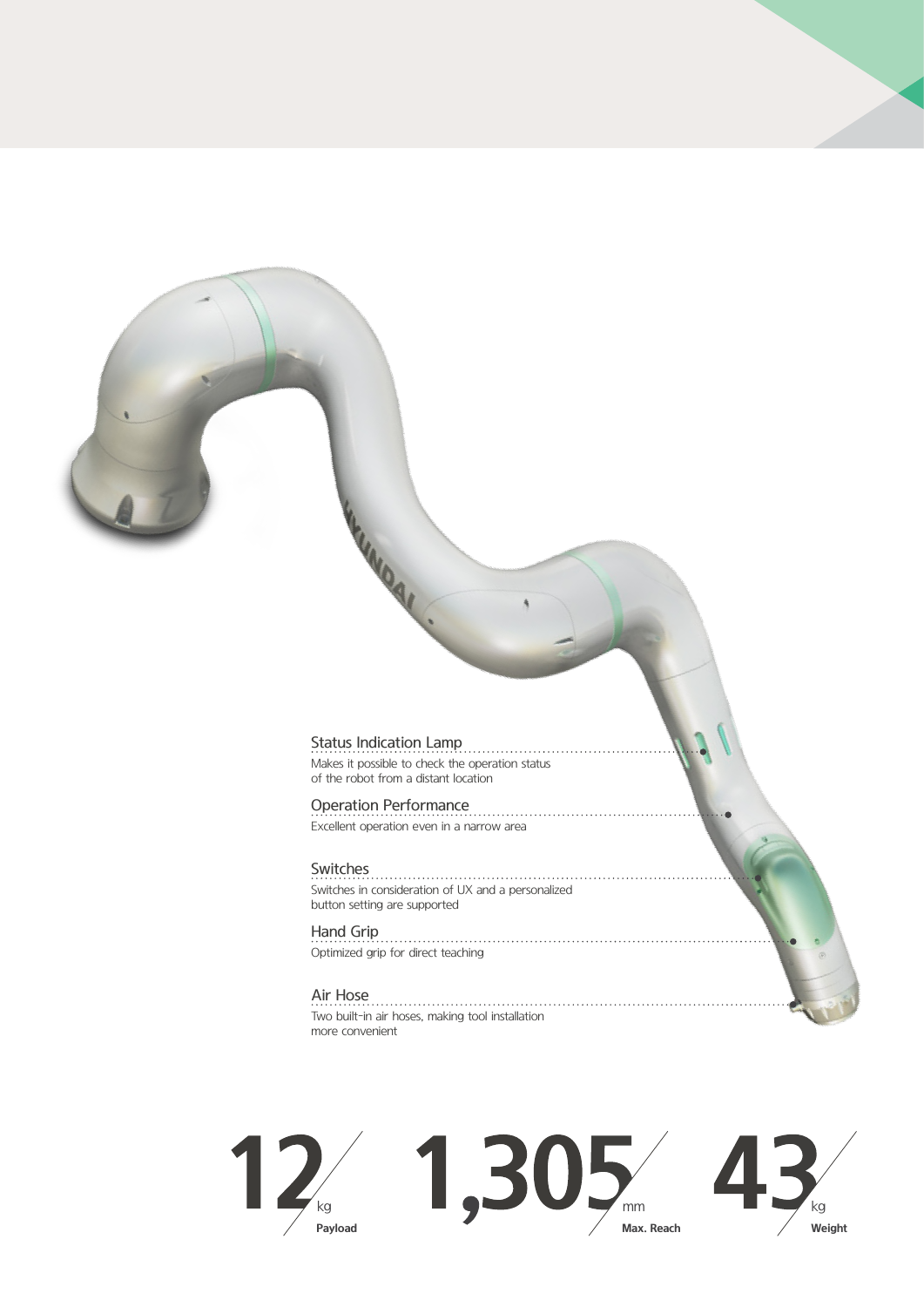### Status Indication Lamp

**LINDAI** 

Makes it possible to check the operation status of the robot from a distant location

### Operation Performance

Excellent operation even in a narrow area

Switches<br>
Switches<br>
Switches<br>
Switches<br>
Switches<br>
Switches<br>
Switches<br>
Switches<br>
Switches<br>
Switches<br>
Switches<br>
Switches<br>
Switches<br>
Switches<br>
Switches<br>
Switches<br>
Switches<br>
Switches<br>
Switches<br>
Switches<br>
Switches<br>
Switches<br>
Sw Switches in consideration of UX and a personalized button setting are supported

### Hand Grip

Optimized grip for direct teaching

Air Hose Two built-in air hoses, making tool installation more convenient

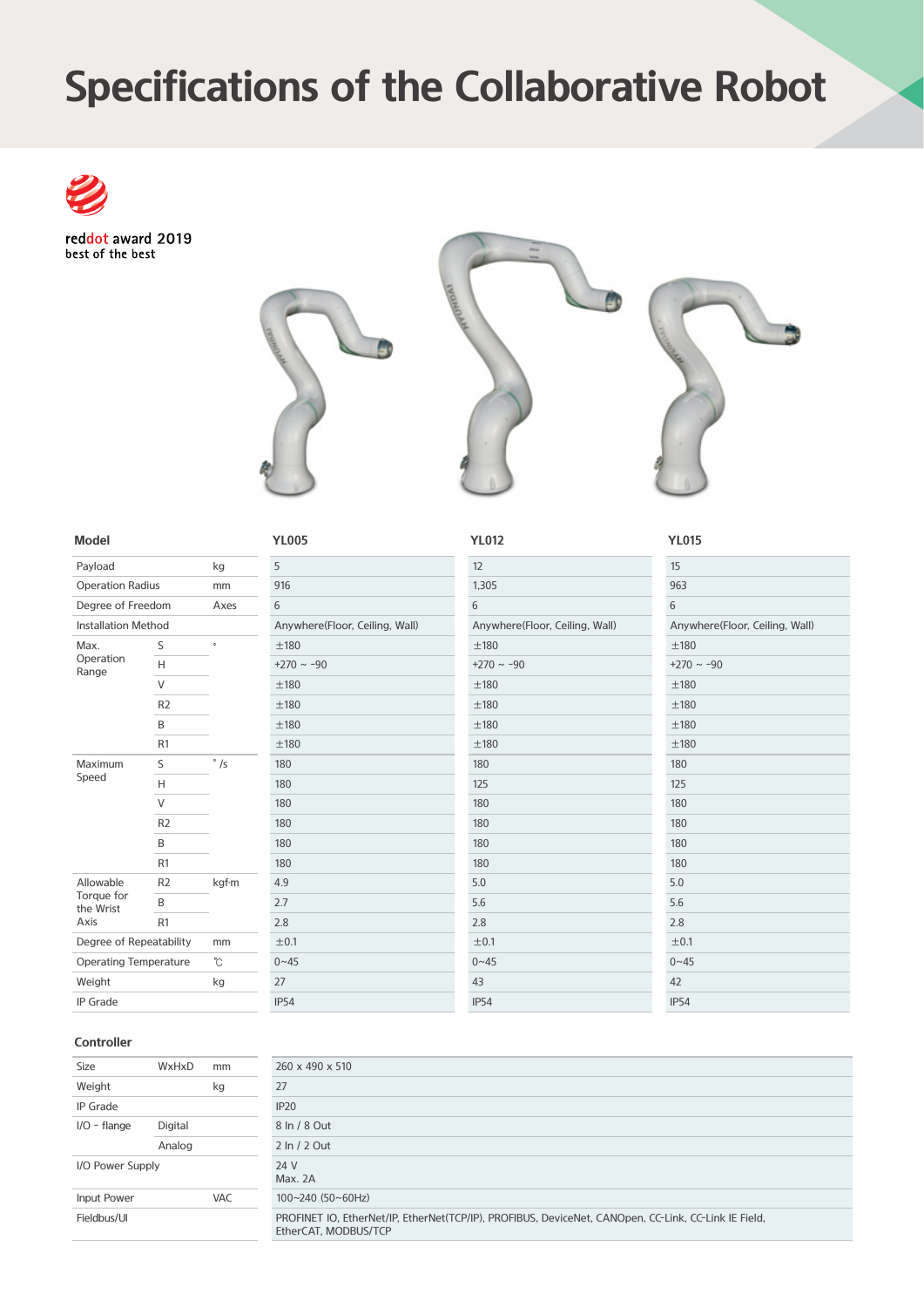# **Specifications of the Collaborative Robot**

reddot award 2019 best of the best



### **Model**

| Payload                      | kg             |               |  |  |
|------------------------------|----------------|---------------|--|--|
| <b>Operation Radius</b>      |                | mm            |  |  |
| Degree of Freedom            |                | Axes          |  |  |
| <b>Installation Method</b>   |                |               |  |  |
| Max.                         | S              | $\circ$       |  |  |
| Operation<br>Range           | Н              |               |  |  |
|                              | V              |               |  |  |
|                              | R <sub>2</sub> |               |  |  |
|                              | B              |               |  |  |
|                              | R <sub>1</sub> |               |  |  |
| Maximum                      | S              | $\circ$<br>/s |  |  |
| Speed                        | Н              |               |  |  |
|                              | $\vee$         |               |  |  |
|                              | R <sub>2</sub> |               |  |  |
|                              | R              |               |  |  |
|                              | R <sub>1</sub> |               |  |  |
| Allowable                    | R <sub>2</sub> | kgf·m         |  |  |
| Torque for<br>the Wrist      | B              |               |  |  |
| Axis                         | R <sub>1</sub> |               |  |  |
| Degree of Repeatability      |                | mm            |  |  |
| <b>Operating Temperature</b> |                | °C            |  |  |
| Weight                       | kg             |               |  |  |
| <b>IP</b> Grade              |                |               |  |  |

### 5 916 6 Anywhere(Floor, Ceiling, Wall) ±180 +270 ~ -90 ±180 ±180 ±180 ±180 180 180 180 180 180 180 4.9 2.7 2.8  $±0.1$  $0 - 45$ 27 IP54

| YL005                          | <b>YL012</b>                   | <b>YL015</b> |
|--------------------------------|--------------------------------|--------------|
| 5                              | 12                             | 15           |
| 916                            | 1,305                          | 963          |
| 6                              | 6                              | 6            |
| Anywhere(Floor, Ceiling, Wall) | Anywhere(Floor, Ceiling, Wall) | Anywhe       |
| ±180                           | ±180                           | ±180         |
| $+270 \sim -90$                | $+270 \sim -90$                | $+270$ ~ -   |
| ±180                           | ±180                           | ±180         |
| ±180                           | ±180                           | ±180         |
| ±180                           | ±180                           | ±180         |
| ±180                           | ±180                           | ±180         |
| 180                            | 180                            | 180          |
| 180                            | 125                            | 125          |
| 180                            | 180                            | 180          |
| 180                            | 180                            | 180          |
| 180                            | 180                            | 180          |
| 180                            | 180                            | 180          |
| 4.9                            | 5.0                            | 5.0          |
| 2.7                            | 5.6                            | 5.6          |
| 2.8                            | 2.8                            | 2.8          |
| ±0.1                           | ±0.1                           | ±0.1         |
| $0 - 45$                       | $0 - 45$                       | $0 - 45$     |
| 27                             | 43                             | 42           |
| <b>IP54</b>                    | <b>IP54</b>                    | <b>IP54</b>  |

| 15                             |
|--------------------------------|
| 963                            |
| 6                              |
| Anywhere(Floor, Ceiling, Wall) |
| ±180                           |
| $+270 \sim -90$                |
| ±180                           |
| ±180                           |
| ±180                           |
| ±180                           |
| 180                            |
| 125                            |
| 180                            |
| 180                            |
| 180                            |
| 180                            |
| 5.0                            |
| 5.6                            |
| 2.8                            |
| ±0.1                           |
| $0 - 45$                       |
| 42                             |
| IDEA                           |

### **Controller**

| Size             | WxHxD   | mm         | 260 x 490 x 510                                                                                                              |
|------------------|---------|------------|------------------------------------------------------------------------------------------------------------------------------|
| Weight           |         | kg         | 27                                                                                                                           |
| <b>IP</b> Grade  |         |            | IP20                                                                                                                         |
| $I/O$ - flange   | Digital |            | 8 In / 8 Out                                                                                                                 |
|                  | Analog  |            | 2 In / 2 Out                                                                                                                 |
| I/O Power Supply |         |            | 24 V<br>Max. 2A                                                                                                              |
| Input Power      |         | <b>VAC</b> | $100 - 240$ (50~60Hz)                                                                                                        |
| Fieldbus/UI      |         |            | PROFINET IO, EtherNet/IP, EtherNet(TCP/IP), PROFIBUS, DeviceNet, CANOpen, CC-Link, CC-Link IE Field,<br>EtherCAT, MODBUS/TCP |
|                  |         |            |                                                                                                                              |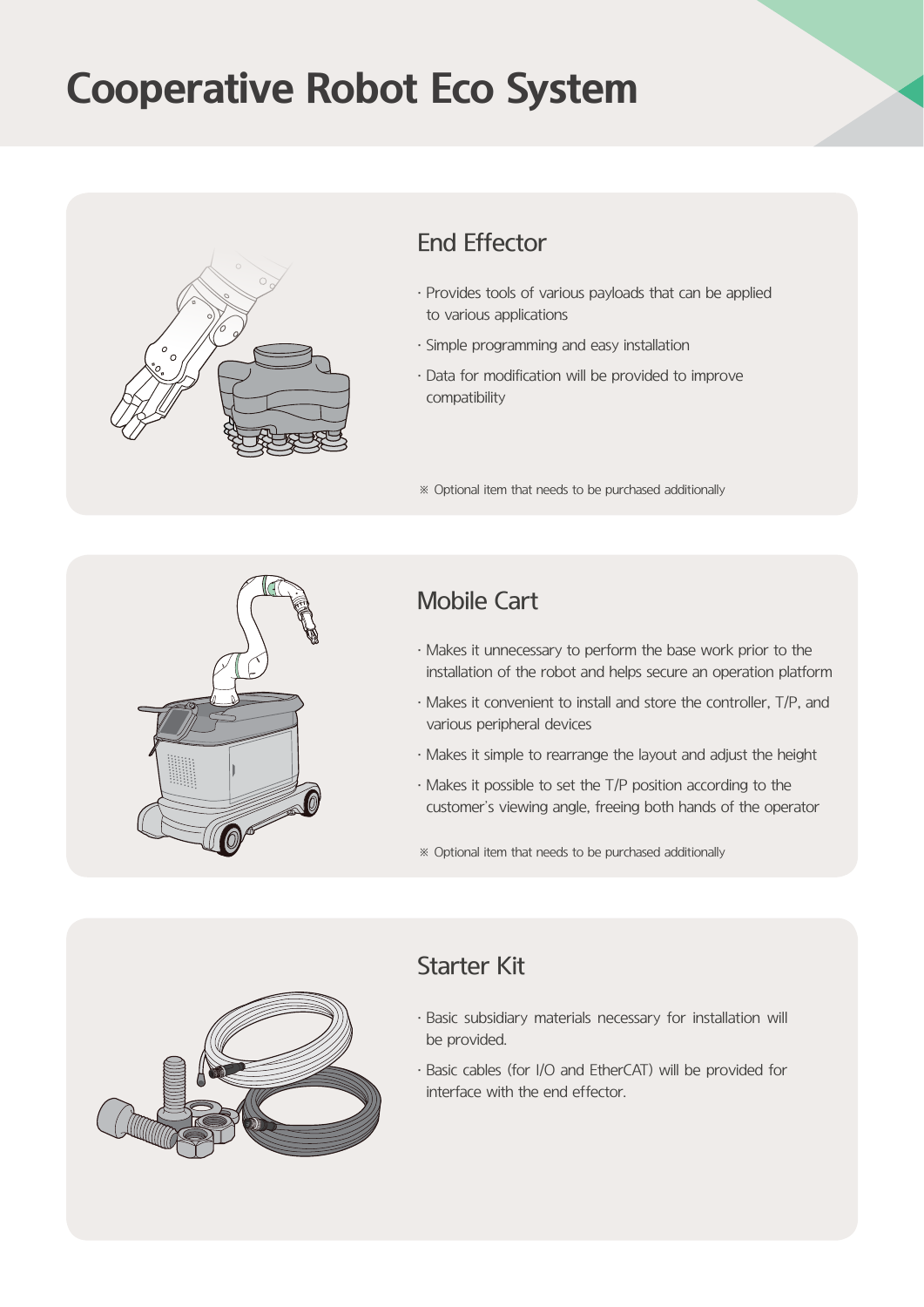# **Cooperative Robot Eco System**



### End Effector

- · Provides tools of various payloads that can be applied to various applications
- · Simple programming and easy installation
- · Data for modification will be provided to improve compatibility

※ Optional item that needs to be purchased additionally



### Mobile Cart

- · Makes it unnecessary to perform the base work prior to the installation of the robot and helps secure an operation platform
- · Makes it convenient to install and store the controller, T/P, and various peripheral devices
- · Makes it simple to rearrange the layout and adjust the height
- · Makes it possible to set the T/P position according to the customer's viewing angle, freeing both hands of the operator
- ※ Optional item that needs to be purchased additionally



### Starter Kit

- · Basic subsidiary materials necessary for installation will be provided.
- · Basic cables (for I/O and EtherCAT) will be provided for interface with the end effector.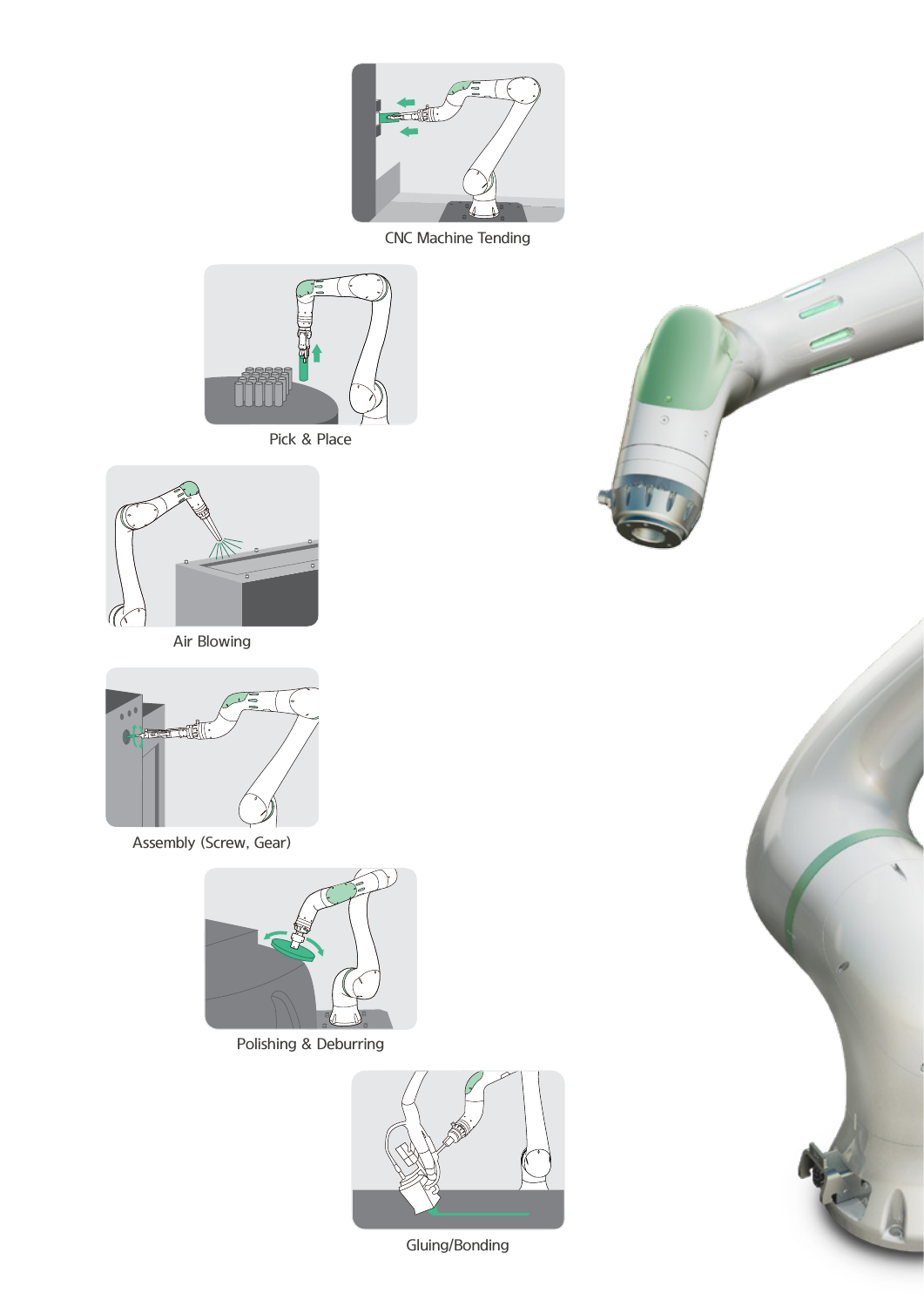

CNC Machine Tending







Air Blowing



Assembly (Screw, Gear)



Polishing & Deburring



Gluing/Bonding



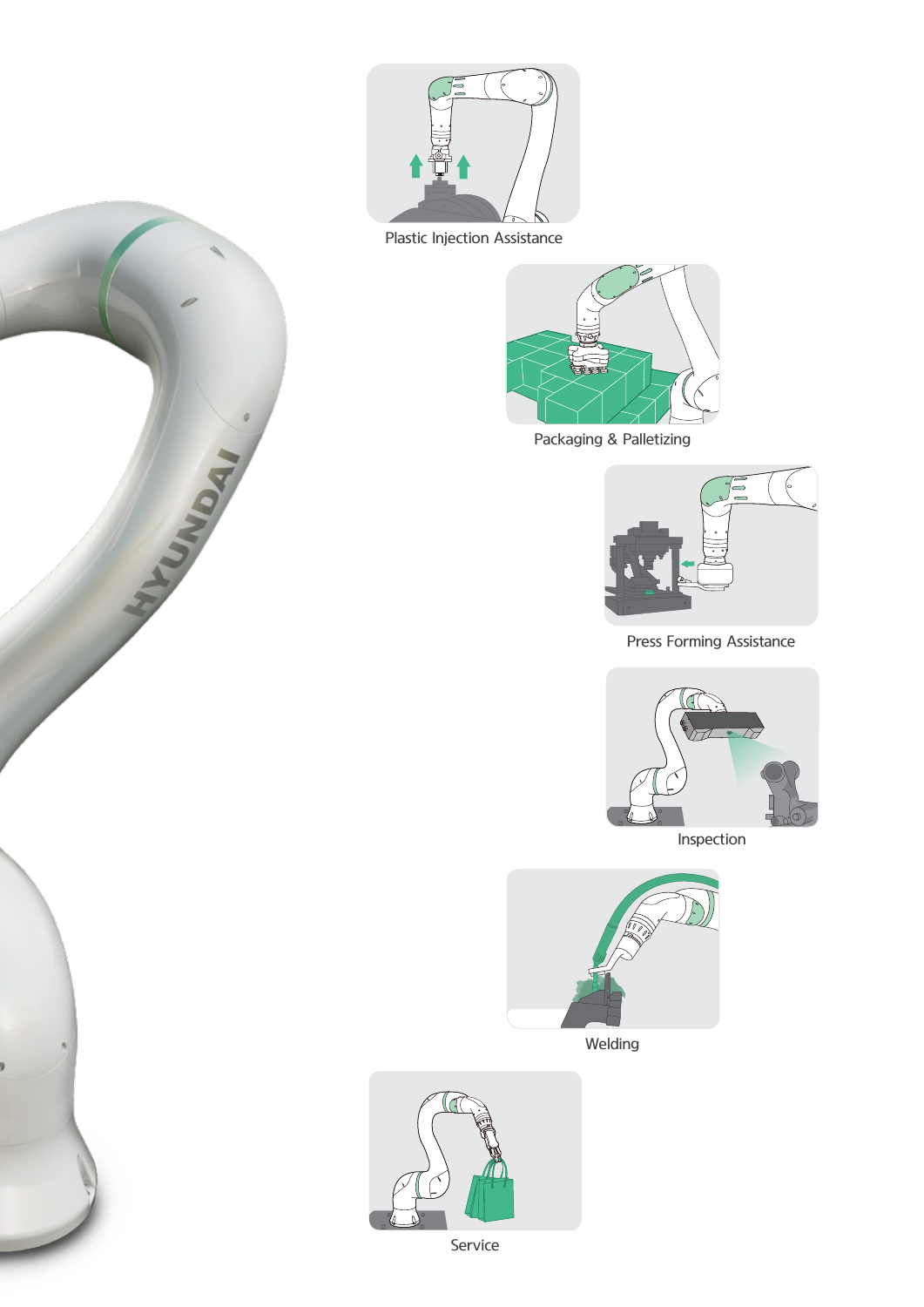

Plastic Injection Assistance

HIVONIA LI



Packaging & Palletizing



Press Forming Assistance







Welding



Service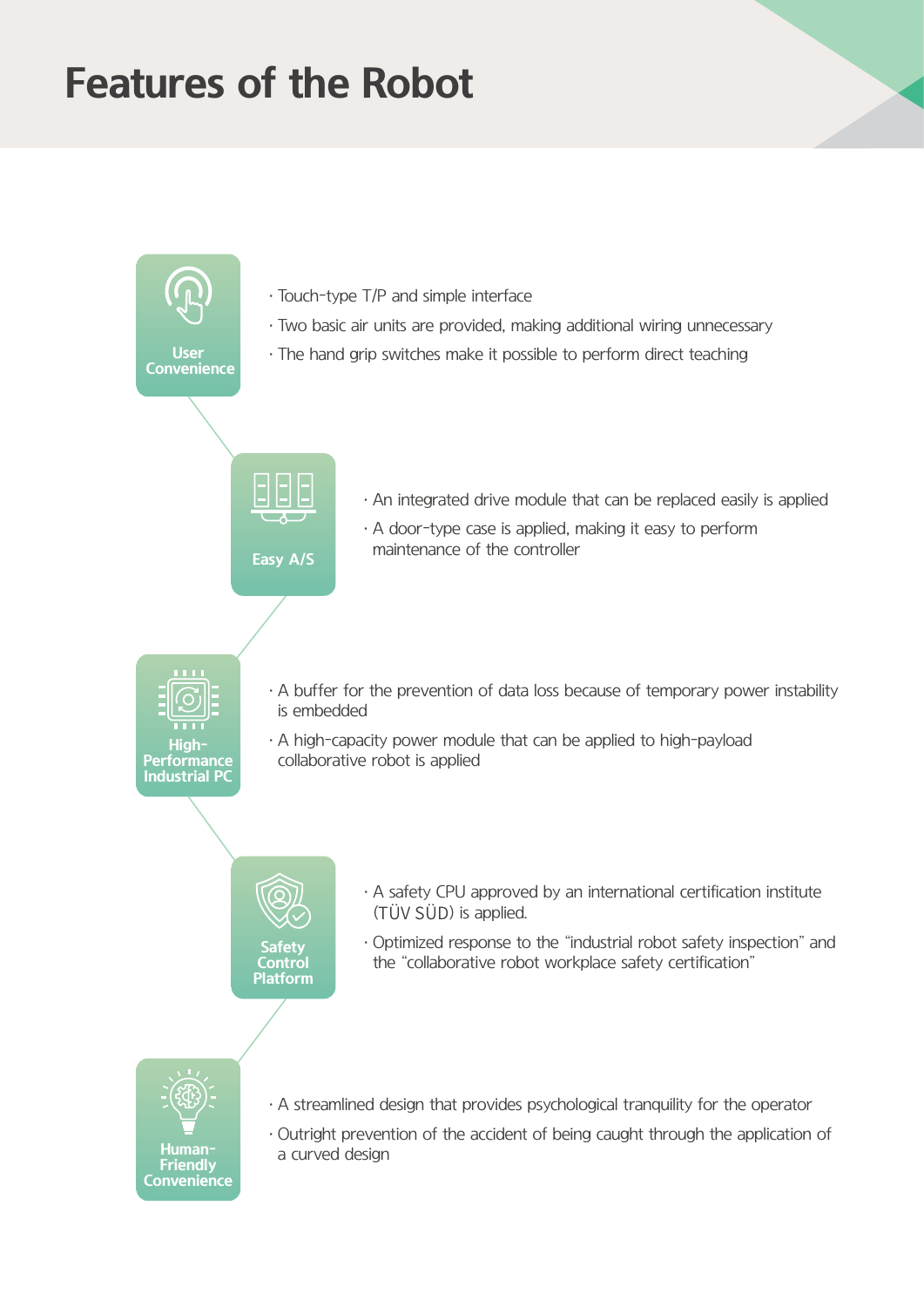# **Features of the Robot**